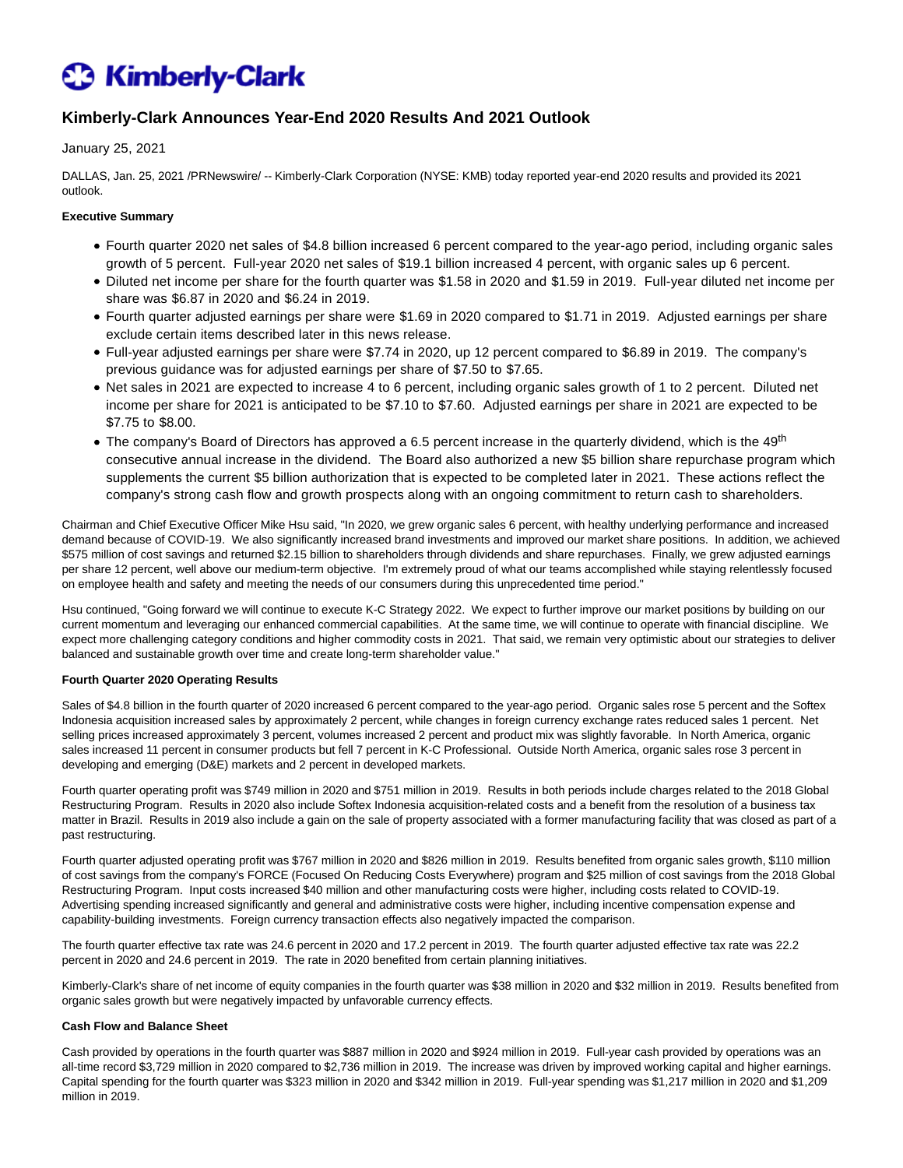# **C** Kimberly-Clark

## **Kimberly-Clark Announces Year-End 2020 Results And 2021 Outlook**

## January 25, 2021

DALLAS, Jan. 25, 2021 /PRNewswire/ -- Kimberly-Clark Corporation (NYSE: KMB) today reported year-end 2020 results and provided its 2021 outlook.

## **Executive Summary**

- Fourth quarter 2020 net sales of \$4.8 billion increased 6 percent compared to the year-ago period, including organic sales growth of 5 percent. Full-year 2020 net sales of \$19.1 billion increased 4 percent, with organic sales up 6 percent.
- Diluted net income per share for the fourth quarter was \$1.58 in 2020 and \$1.59 in 2019. Full-year diluted net income per share was \$6.87 in 2020 and \$6.24 in 2019.
- Fourth quarter adjusted earnings per share were \$1.69 in 2020 compared to \$1.71 in 2019. Adjusted earnings per share exclude certain items described later in this news release.
- Full-year adjusted earnings per share were \$7.74 in 2020, up 12 percent compared to \$6.89 in 2019. The company's previous guidance was for adjusted earnings per share of \$7.50 to \$7.65.
- Net sales in 2021 are expected to increase 4 to 6 percent, including organic sales growth of 1 to 2 percent. Diluted net income per share for 2021 is anticipated to be \$7.10 to \$7.60. Adjusted earnings per share in 2021 are expected to be \$7.75 to \$8.00.
- The company's Board of Directors has approved a 6.5 percent increase in the quarterly dividend, which is the 49<sup>th</sup> consecutive annual increase in the dividend. The Board also authorized a new \$5 billion share repurchase program which supplements the current \$5 billion authorization that is expected to be completed later in 2021. These actions reflect the company's strong cash flow and growth prospects along with an ongoing commitment to return cash to shareholders.

Chairman and Chief Executive Officer Mike Hsu said, "In 2020, we grew organic sales 6 percent, with healthy underlying performance and increased demand because of COVID-19. We also significantly increased brand investments and improved our market share positions. In addition, we achieved \$575 million of cost savings and returned \$2.15 billion to shareholders through dividends and share repurchases. Finally, we grew adjusted earnings per share 12 percent, well above our medium-term objective. I'm extremely proud of what our teams accomplished while staying relentlessly focused on employee health and safety and meeting the needs of our consumers during this unprecedented time period."

Hsu continued, "Going forward we will continue to execute K-C Strategy 2022. We expect to further improve our market positions by building on our current momentum and leveraging our enhanced commercial capabilities. At the same time, we will continue to operate with financial discipline. We expect more challenging category conditions and higher commodity costs in 2021. That said, we remain very optimistic about our strategies to deliver balanced and sustainable growth over time and create long-term shareholder value."

### **Fourth Quarter 2020 Operating Results**

Sales of \$4.8 billion in the fourth quarter of 2020 increased 6 percent compared to the year-ago period. Organic sales rose 5 percent and the Softex Indonesia acquisition increased sales by approximately 2 percent, while changes in foreign currency exchange rates reduced sales 1 percent. Net selling prices increased approximately 3 percent, volumes increased 2 percent and product mix was slightly favorable. In North America, organic sales increased 11 percent in consumer products but fell 7 percent in K-C Professional. Outside North America, organic sales rose 3 percent in developing and emerging (D&E) markets and 2 percent in developed markets.

Fourth quarter operating profit was \$749 million in 2020 and \$751 million in 2019. Results in both periods include charges related to the 2018 Global Restructuring Program. Results in 2020 also include Softex Indonesia acquisition-related costs and a benefit from the resolution of a business tax matter in Brazil. Results in 2019 also include a gain on the sale of property associated with a former manufacturing facility that was closed as part of a past restructuring.

Fourth quarter adjusted operating profit was \$767 million in 2020 and \$826 million in 2019. Results benefited from organic sales growth, \$110 million of cost savings from the company's FORCE (Focused On Reducing Costs Everywhere) program and \$25 million of cost savings from the 2018 Global Restructuring Program. Input costs increased \$40 million and other manufacturing costs were higher, including costs related to COVID-19. Advertising spending increased significantly and general and administrative costs were higher, including incentive compensation expense and capability-building investments. Foreign currency transaction effects also negatively impacted the comparison.

The fourth quarter effective tax rate was 24.6 percent in 2020 and 17.2 percent in 2019. The fourth quarter adjusted effective tax rate was 22.2 percent in 2020 and 24.6 percent in 2019. The rate in 2020 benefited from certain planning initiatives.

Kimberly-Clark's share of net income of equity companies in the fourth quarter was \$38 million in 2020 and \$32 million in 2019. Results benefited from organic sales growth but were negatively impacted by unfavorable currency effects.

### **Cash Flow and Balance Sheet**

Cash provided by operations in the fourth quarter was \$887 million in 2020 and \$924 million in 2019. Full-year cash provided by operations was an all-time record \$3,729 million in 2020 compared to \$2,736 million in 2019. The increase was driven by improved working capital and higher earnings. Capital spending for the fourth quarter was \$323 million in 2020 and \$342 million in 2019. Full-year spending was \$1,217 million in 2020 and \$1,209 million in 2019.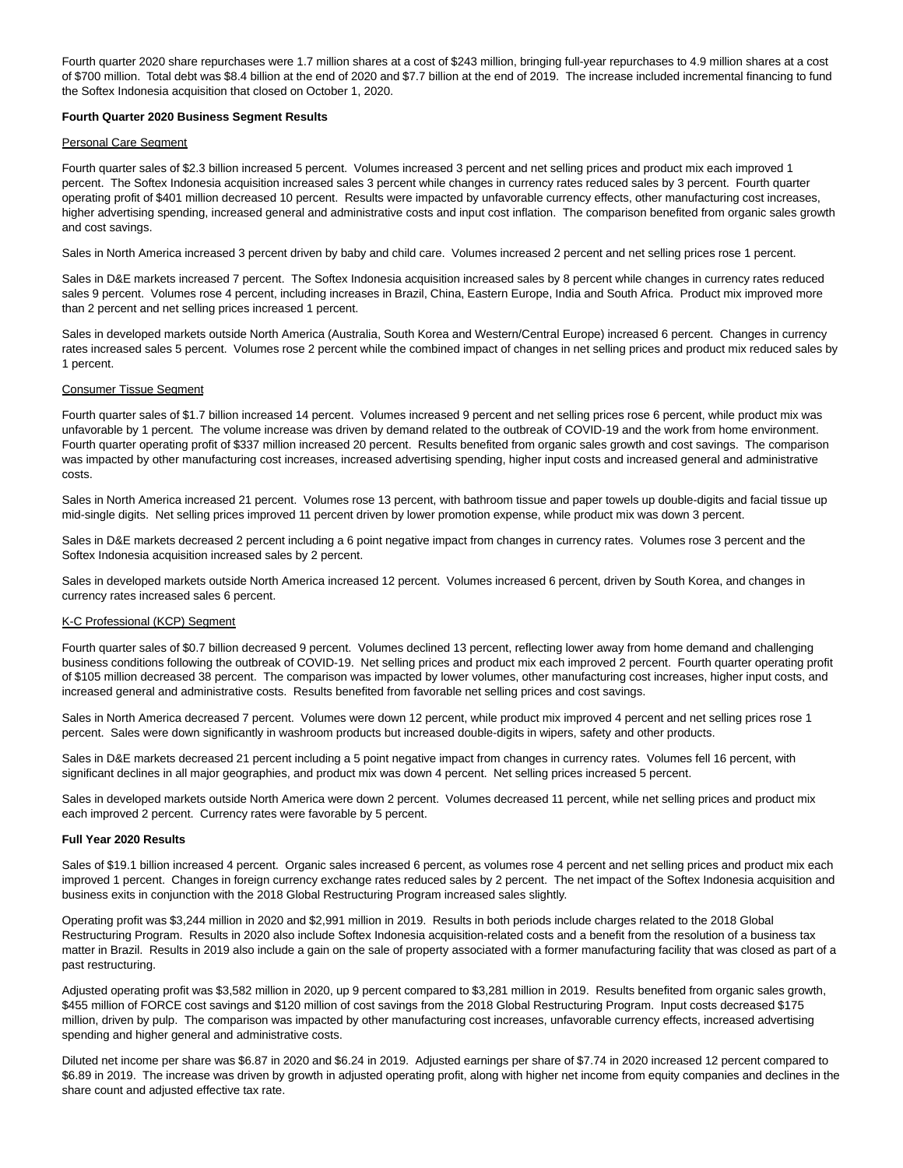Fourth quarter 2020 share repurchases were 1.7 million shares at a cost of \$243 million, bringing full-year repurchases to 4.9 million shares at a cost of \$700 million. Total debt was \$8.4 billion at the end of 2020 and \$7.7 billion at the end of 2019. The increase included incremental financing to fund the Softex Indonesia acquisition that closed on October 1, 2020.

#### **Fourth Quarter 2020 Business Segment Results**

#### Personal Care Segment

Fourth quarter sales of \$2.3 billion increased 5 percent. Volumes increased 3 percent and net selling prices and product mix each improved 1 percent. The Softex Indonesia acquisition increased sales 3 percent while changes in currency rates reduced sales by 3 percent. Fourth quarter operating profit of \$401 million decreased 10 percent. Results were impacted by unfavorable currency effects, other manufacturing cost increases, higher advertising spending, increased general and administrative costs and input cost inflation. The comparison benefited from organic sales growth and cost savings.

Sales in North America increased 3 percent driven by baby and child care. Volumes increased 2 percent and net selling prices rose 1 percent.

Sales in D&E markets increased 7 percent. The Softex Indonesia acquisition increased sales by 8 percent while changes in currency rates reduced sales 9 percent. Volumes rose 4 percent, including increases in Brazil, China, Eastern Europe, India and South Africa. Product mix improved more than 2 percent and net selling prices increased 1 percent.

Sales in developed markets outside North America (Australia, South Korea and Western/Central Europe) increased 6 percent. Changes in currency rates increased sales 5 percent. Volumes rose 2 percent while the combined impact of changes in net selling prices and product mix reduced sales by 1 percent.

#### Consumer Tissue Segment

Fourth quarter sales of \$1.7 billion increased 14 percent. Volumes increased 9 percent and net selling prices rose 6 percent, while product mix was unfavorable by 1 percent. The volume increase was driven by demand related to the outbreak of COVID-19 and the work from home environment. Fourth quarter operating profit of \$337 million increased 20 percent. Results benefited from organic sales growth and cost savings. The comparison was impacted by other manufacturing cost increases, increased advertising spending, higher input costs and increased general and administrative costs.

Sales in North America increased 21 percent. Volumes rose 13 percent, with bathroom tissue and paper towels up double-digits and facial tissue up mid-single digits. Net selling prices improved 11 percent driven by lower promotion expense, while product mix was down 3 percent.

Sales in D&E markets decreased 2 percent including a 6 point negative impact from changes in currency rates. Volumes rose 3 percent and the Softex Indonesia acquisition increased sales by 2 percent.

Sales in developed markets outside North America increased 12 percent. Volumes increased 6 percent, driven by South Korea, and changes in currency rates increased sales 6 percent.

#### K-C Professional (KCP) Segment

Fourth quarter sales of \$0.7 billion decreased 9 percent. Volumes declined 13 percent, reflecting lower away from home demand and challenging business conditions following the outbreak of COVID-19. Net selling prices and product mix each improved 2 percent. Fourth quarter operating profit of \$105 million decreased 38 percent. The comparison was impacted by lower volumes, other manufacturing cost increases, higher input costs, and increased general and administrative costs. Results benefited from favorable net selling prices and cost savings.

Sales in North America decreased 7 percent. Volumes were down 12 percent, while product mix improved 4 percent and net selling prices rose 1 percent. Sales were down significantly in washroom products but increased double-digits in wipers, safety and other products.

Sales in D&E markets decreased 21 percent including a 5 point negative impact from changes in currency rates. Volumes fell 16 percent, with significant declines in all major geographies, and product mix was down 4 percent. Net selling prices increased 5 percent.

Sales in developed markets outside North America were down 2 percent. Volumes decreased 11 percent, while net selling prices and product mix each improved 2 percent. Currency rates were favorable by 5 percent.

#### **Full Year 2020 Results**

Sales of \$19.1 billion increased 4 percent. Organic sales increased 6 percent, as volumes rose 4 percent and net selling prices and product mix each improved 1 percent. Changes in foreign currency exchange rates reduced sales by 2 percent. The net impact of the Softex Indonesia acquisition and business exits in conjunction with the 2018 Global Restructuring Program increased sales slightly.

Operating profit was \$3,244 million in 2020 and \$2,991 million in 2019. Results in both periods include charges related to the 2018 Global Restructuring Program. Results in 2020 also include Softex Indonesia acquisition-related costs and a benefit from the resolution of a business tax matter in Brazil. Results in 2019 also include a gain on the sale of property associated with a former manufacturing facility that was closed as part of a past restructuring.

Adjusted operating profit was \$3,582 million in 2020, up 9 percent compared to \$3,281 million in 2019. Results benefited from organic sales growth, \$455 million of FORCE cost savings and \$120 million of cost savings from the 2018 Global Restructuring Program. Input costs decreased \$175 million, driven by pulp. The comparison was impacted by other manufacturing cost increases, unfavorable currency effects, increased advertising spending and higher general and administrative costs.

Diluted net income per share was \$6.87 in 2020 and \$6.24 in 2019. Adjusted earnings per share of \$7.74 in 2020 increased 12 percent compared to \$6.89 in 2019. The increase was driven by growth in adjusted operating profit, along with higher net income from equity companies and declines in the share count and adjusted effective tax rate.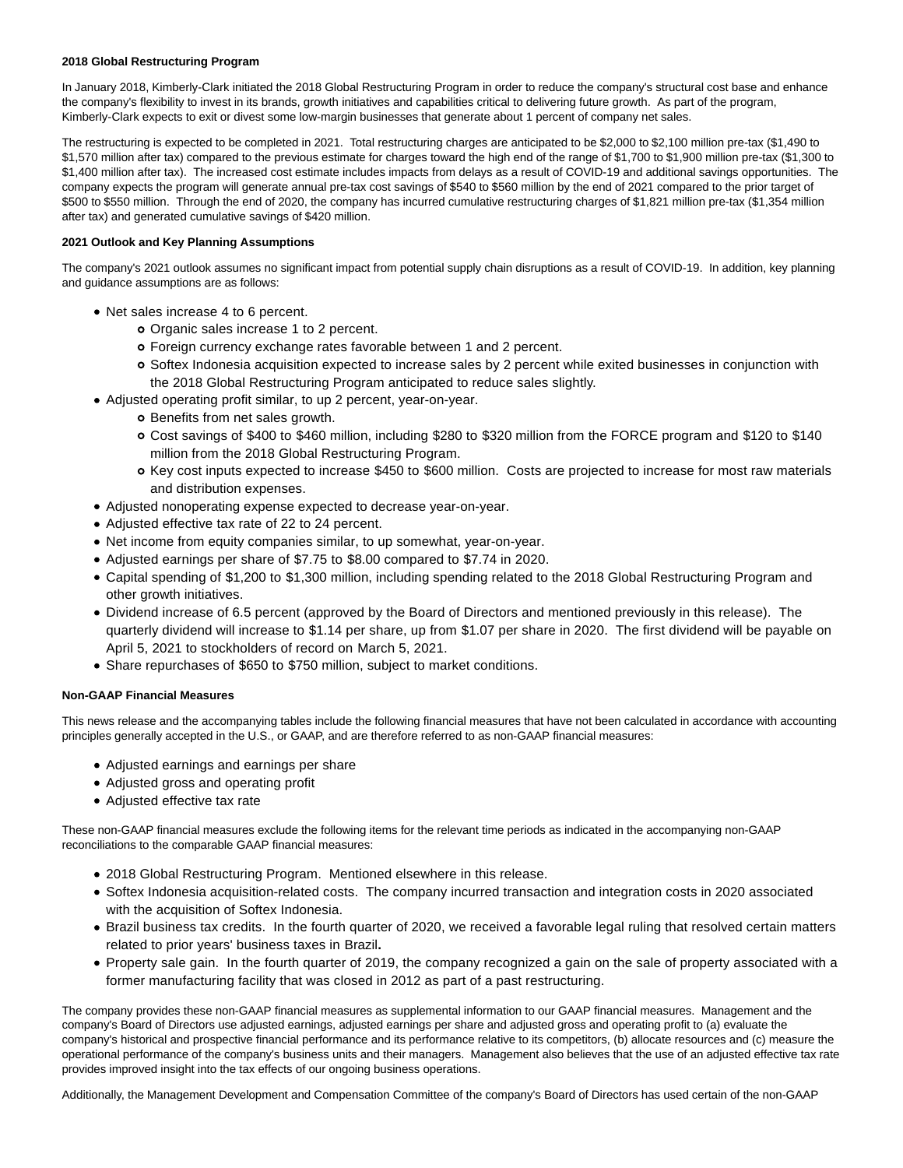### **2018 Global Restructuring Program**

In January 2018, Kimberly-Clark initiated the 2018 Global Restructuring Program in order to reduce the company's structural cost base and enhance the company's flexibility to invest in its brands, growth initiatives and capabilities critical to delivering future growth. As part of the program, Kimberly-Clark expects to exit or divest some low-margin businesses that generate about 1 percent of company net sales.

The restructuring is expected to be completed in 2021. Total restructuring charges are anticipated to be \$2,000 to \$2,100 million pre-tax (\$1,490 to \$1,570 million after tax) compared to the previous estimate for charges toward the high end of the range of \$1,700 to \$1,900 million pre-tax (\$1,300 to \$1,400 million after tax). The increased cost estimate includes impacts from delays as a result of COVID-19 and additional savings opportunities. The company expects the program will generate annual pre-tax cost savings of \$540 to \$560 million by the end of 2021 compared to the prior target of \$500 to \$550 million. Through the end of 2020, the company has incurred cumulative restructuring charges of \$1,821 million pre-tax (\$1,354 million after tax) and generated cumulative savings of \$420 million.

## **2021 Outlook and Key Planning Assumptions**

The company's 2021 outlook assumes no significant impact from potential supply chain disruptions as a result of COVID-19. In addition, key planning and guidance assumptions are as follows:

- Net sales increase 4 to 6 percent.
	- Organic sales increase 1 to 2 percent.
	- Foreign currency exchange rates favorable between 1 and 2 percent.
	- Softex Indonesia acquisition expected to increase sales by 2 percent while exited businesses in conjunction with the 2018 Global Restructuring Program anticipated to reduce sales slightly.
- Adjusted operating profit similar, to up 2 percent, year-on-year.
	- o Benefits from net sales growth.
	- Cost savings of \$400 to \$460 million, including \$280 to \$320 million from the FORCE program and \$120 to \$140 million from the 2018 Global Restructuring Program.
	- Key cost inputs expected to increase \$450 to \$600 million. Costs are projected to increase for most raw materials and distribution expenses.
- Adjusted nonoperating expense expected to decrease year-on-year.
- Adjusted effective tax rate of 22 to 24 percent.
- Net income from equity companies similar, to up somewhat, year-on-year.
- Adjusted earnings per share of \$7.75 to \$8.00 compared to \$7.74 in 2020.
- Capital spending of \$1,200 to \$1,300 million, including spending related to the 2018 Global Restructuring Program and other growth initiatives.
- Dividend increase of 6.5 percent (approved by the Board of Directors and mentioned previously in this release). The quarterly dividend will increase to \$1.14 per share, up from \$1.07 per share in 2020. The first dividend will be payable on April 5, 2021 to stockholders of record on March 5, 2021.
- Share repurchases of \$650 to \$750 million, subject to market conditions.

## **Non-GAAP Financial Measures**

This news release and the accompanying tables include the following financial measures that have not been calculated in accordance with accounting principles generally accepted in the U.S., or GAAP, and are therefore referred to as non-GAAP financial measures:

- Adjusted earnings and earnings per share
- Adjusted gross and operating profit
- Adjusted effective tax rate

These non-GAAP financial measures exclude the following items for the relevant time periods as indicated in the accompanying non-GAAP reconciliations to the comparable GAAP financial measures:

- 2018 Global Restructuring Program. Mentioned elsewhere in this release.
- Softex Indonesia acquisition-related costs. The company incurred transaction and integration costs in 2020 associated with the acquisition of Softex Indonesia.
- Brazil business tax credits. In the fourth quarter of 2020, we received a favorable legal ruling that resolved certain matters related to prior years' business taxes in Brazil**.**
- Property sale gain. In the fourth quarter of 2019, the company recognized a gain on the sale of property associated with a former manufacturing facility that was closed in 2012 as part of a past restructuring.

The company provides these non-GAAP financial measures as supplemental information to our GAAP financial measures. Management and the company's Board of Directors use adjusted earnings, adjusted earnings per share and adjusted gross and operating profit to (a) evaluate the company's historical and prospective financial performance and its performance relative to its competitors, (b) allocate resources and (c) measure the operational performance of the company's business units and their managers. Management also believes that the use of an adjusted effective tax rate provides improved insight into the tax effects of our ongoing business operations.

Additionally, the Management Development and Compensation Committee of the company's Board of Directors has used certain of the non-GAAP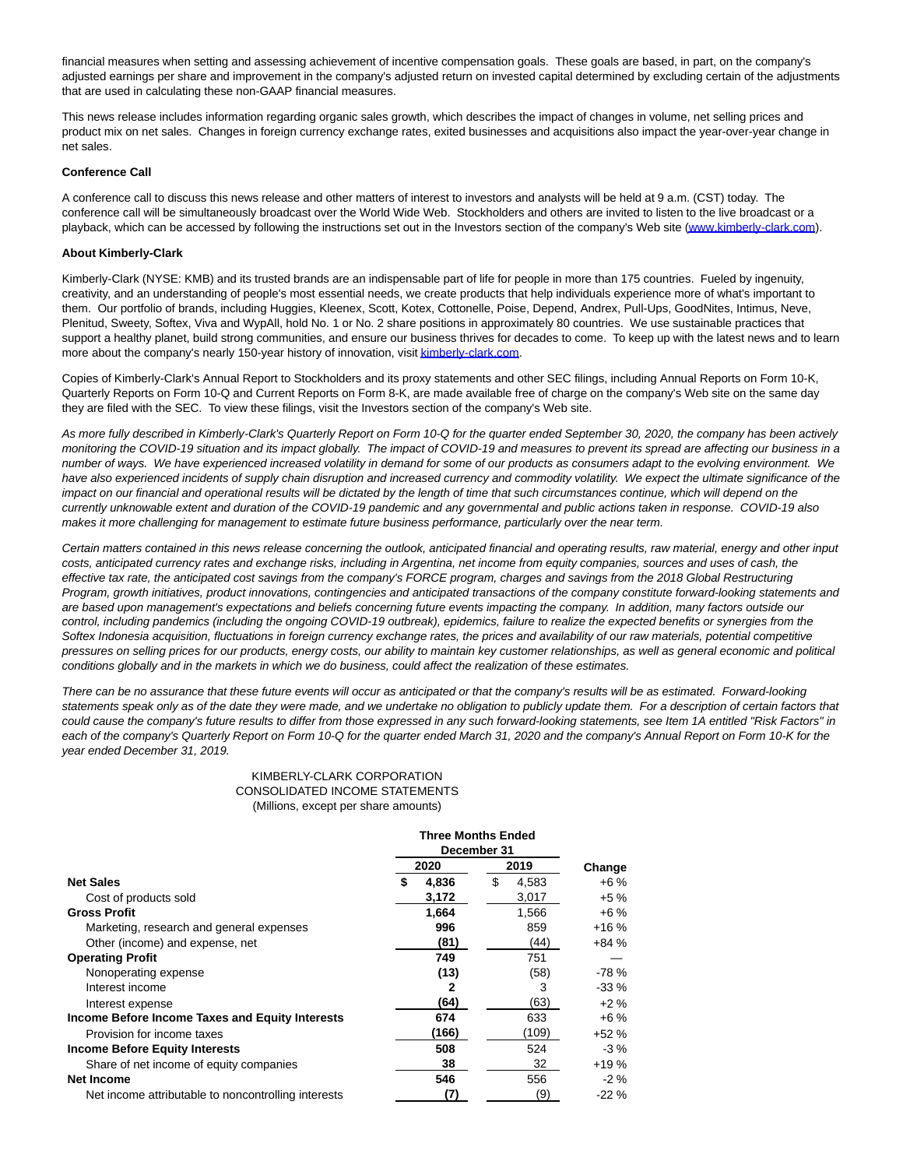financial measures when setting and assessing achievement of incentive compensation goals. These goals are based, in part, on the company's adjusted earnings per share and improvement in the company's adjusted return on invested capital determined by excluding certain of the adjustments that are used in calculating these non-GAAP financial measures.

This news release includes information regarding organic sales growth, which describes the impact of changes in volume, net selling prices and product mix on net sales. Changes in foreign currency exchange rates, exited businesses and acquisitions also impact the year-over-year change in net sales.

#### **Conference Call**

A conference call to discuss this news release and other matters of interest to investors and analysts will be held at 9 a.m. (CST) today. The conference call will be simultaneously broadcast over the World Wide Web. Stockholders and others are invited to listen to the live broadcast or a playback, which can be accessed by following the instructions set out in the Investors section of the company's Web site [\(www.kimberly-clark.com\).](https://c212.net/c/link/?t=0&l=en&o=3045130-1&h=1408031576&u=http%3A%2F%2Fwww.kimberly-clark.com%2F&a=www.kimberly-clark.com)

#### **About Kimberly-Clark**

Kimberly-Clark (NYSE: KMB) and its trusted brands are an indispensable part of life for people in more than 175 countries. Fueled by ingenuity, creativity, and an understanding of people's most essential needs, we create products that help individuals experience more of what's important to them. Our portfolio of brands, including Huggies, Kleenex, Scott, Kotex, Cottonelle, Poise, Depend, Andrex, Pull-Ups, GoodNites, Intimus, Neve, Plenitud, Sweety, Softex, Viva and WypAll, hold No. 1 or No. 2 share positions in approximately 80 countries. We use sustainable practices that support a healthy planet, build strong communities, and ensure our business thrives for decades to come. To keep up with the latest news and to learn more about the company's nearly 150-year history of innovation, visi[t kimberly-clark.com.](http://kimberly-clark.com/)

Copies of Kimberly-Clark's Annual Report to Stockholders and its proxy statements and other SEC filings, including Annual Reports on Form 10-K, Quarterly Reports on Form 10-Q and Current Reports on Form 8-K, are made available free of charge on the company's Web site on the same day they are filed with the SEC. To view these filings, visit the Investors section of the company's Web site.

As more fully described in Kimberly-Clark's Quarterly Report on Form 10-Q for the quarter ended September 30, 2020, the company has been actively monitoring the COVID-19 situation and its impact globally. The impact of COVID-19 and measures to prevent its spread are affecting our business in a number of ways. We have experienced increased volatility in demand for some of our products as consumers adapt to the evolving environment. We have also experienced incidents of supply chain disruption and increased currency and commodity volatility. We expect the ultimate significance of the impact on our financial and operational results will be dictated by the length of time that such circumstances continue, which will depend on the currently unknowable extent and duration of the COVID-19 pandemic and any governmental and public actions taken in response. COVID-19 also makes it more challenging for management to estimate future business performance, particularly over the near term.

Certain matters contained in this news release concerning the outlook, anticipated financial and operating results, raw material, energy and other input costs, anticipated currency rates and exchange risks, including in Argentina, net income from equity companies, sources and uses of cash, the effective tax rate, the anticipated cost savings from the company's FORCE program, charges and savings from the 2018 Global Restructuring Program, growth initiatives, product innovations, contingencies and anticipated transactions of the company constitute forward-looking statements and are based upon management's expectations and beliefs concerning future events impacting the company. In addition, many factors outside our control, including pandemics (including the ongoing COVID-19 outbreak), epidemics, failure to realize the expected benefits or synergies from the Softex Indonesia acquisition, fluctuations in foreign currency exchange rates, the prices and availability of our raw materials, potential competitive pressures on selling prices for our products, energy costs, our ability to maintain key customer relationships, as well as general economic and political conditions globally and in the markets in which we do business, could affect the realization of these estimates.

There can be no assurance that these future events will occur as anticipated or that the company's results will be as estimated. Forward-looking statements speak only as of the date they were made, and we undertake no obligation to publicly update them. For a description of certain factors that could cause the company's future results to differ from those expressed in any such forward-looking statements, see Item 1A entitled "Risk Factors" in each of the company's Quarterly Report on Form 10-Q for the quarter ended March 31, 2020 and the company's Annual Report on Form 10-K for the year ended December 31, 2019.

### KIMBERLY-CLARK CORPORATION CONSOLIDATED INCOME STATEMENTS (Millions, except per share amounts)

|                                                     |    | 2020  | 2019        | Change |
|-----------------------------------------------------|----|-------|-------------|--------|
| <b>Net Sales</b>                                    | \$ | 4,836 | \$<br>4,583 | $+6\%$ |
| Cost of products sold                               |    | 3,172 | 3,017       | $+5%$  |
| <b>Gross Profit</b>                                 |    | 1,664 | 1,566       | $+6%$  |
| Marketing, research and general expenses            |    | 996   | 859         | $+16%$ |
| Other (income) and expense, net                     |    | (81)  | (44)        | $+84%$ |
| <b>Operating Profit</b>                             |    | 749   | 751         |        |
| Nonoperating expense                                |    | (13)  | (58)        | $-78%$ |
| Interest income                                     |    | 2     | 3           | $-33%$ |
| Interest expense                                    |    | (64)  | (63)        | $+2%$  |
| Income Before Income Taxes and Equity Interests     |    | 674   | 633         | $+6%$  |
| Provision for income taxes                          |    | (166) | (109)       | $+52%$ |
| <b>Income Before Equity Interests</b>               |    | 508   | 524         | $-3\%$ |
| Share of net income of equity companies             |    | 38    | 32          | $+19%$ |
| Net Income                                          |    | 546   | 556         | $-2\%$ |
| Net income attributable to noncontrolling interests |    | (7)   | (9)         | $-22%$ |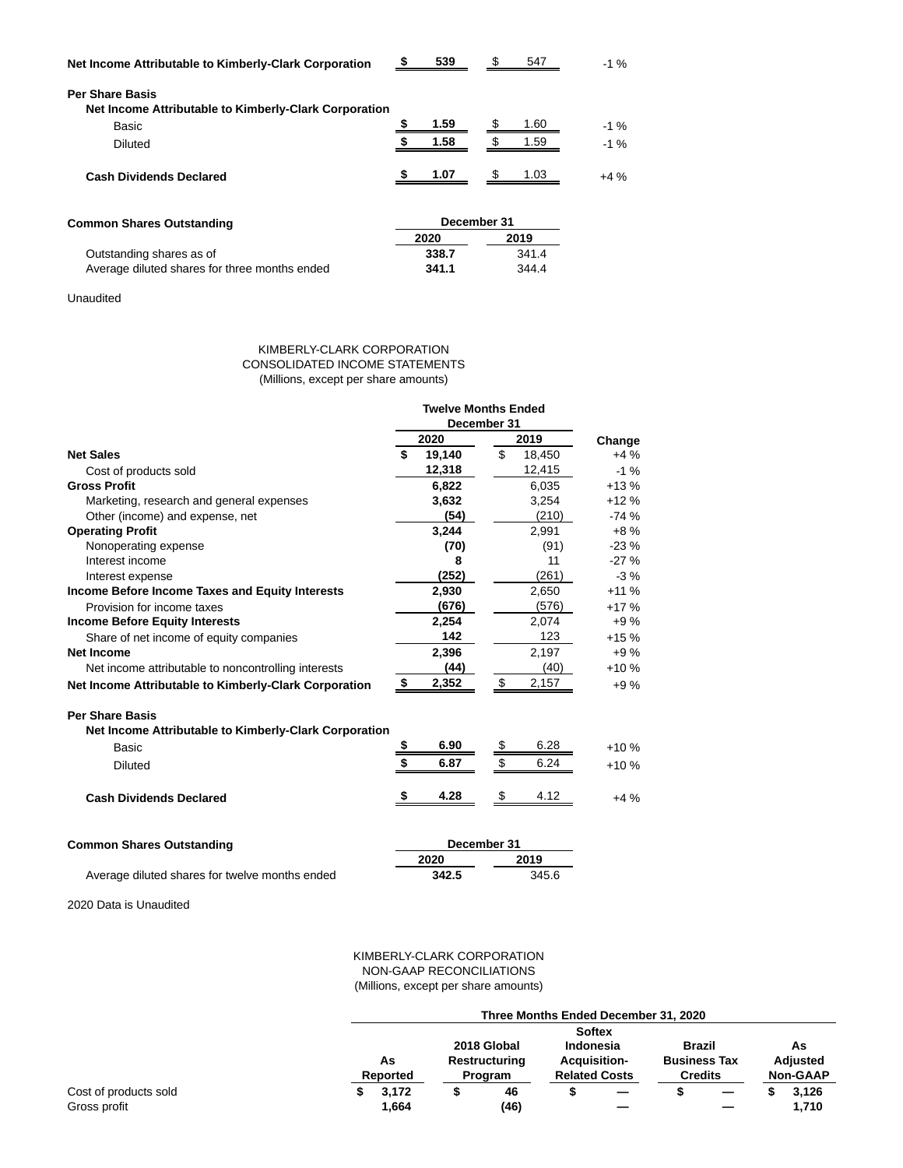| Net Income Attributable to Kimberly-Clark Corporation | 539  |    | 547  | $-1%$ |
|-------------------------------------------------------|------|----|------|-------|
| <b>Per Share Basis</b>                                |      |    |      |       |
| Net Income Attributable to Kimberly-Clark Corporation |      |    |      |       |
| Basic                                                 | 1.59 |    | 1.60 | $-1%$ |
| <b>Diluted</b>                                        | 1.58 |    | 1.59 | $-1%$ |
| <b>Cash Dividends Declared</b>                        | 1.07 | £. | 1.03 | $+4%$ |
|                                                       |      |    |      |       |
|                                                       |      |    |      |       |

| <b>Common Shares Outstanding</b>              | December 31 |       |  |  |  |
|-----------------------------------------------|-------------|-------|--|--|--|
|                                               | 2020        | 2019  |  |  |  |
| Outstanding shares as of                      | 338.7       | 341.4 |  |  |  |
| Average diluted shares for three months ended | 341.1       | 344.4 |  |  |  |

Unaudited

## KIMBERLY-CLARK CORPORATION CONSOLIDATED INCOME STATEMENTS (Millions, except per share amounts)

|                                                       |     | <b>Twelve Months Ended</b><br>December 31 |    |        |        |
|-------------------------------------------------------|-----|-------------------------------------------|----|--------|--------|
|                                                       |     | 2020                                      |    | 2019   | Change |
| <b>Net Sales</b>                                      | \$  | 19,140                                    | \$ | 18,450 | $+4%$  |
| Cost of products sold                                 |     | 12,318                                    |    | 12,415 | $-1%$  |
| <b>Gross Profit</b>                                   |     | 6,822                                     |    | 6,035  | $+13%$ |
| Marketing, research and general expenses              |     | 3,632                                     |    | 3,254  | $+12%$ |
| Other (income) and expense, net                       |     | (54)                                      |    | (210)  | $-74%$ |
| <b>Operating Profit</b>                               |     | 3,244                                     |    | 2,991  | $+8%$  |
| Nonoperating expense                                  |     | (70)                                      |    | (91)   | $-23%$ |
| Interest income                                       |     | 8                                         |    | 11     | $-27%$ |
| Interest expense                                      |     | (252)                                     |    | (261)  | $-3%$  |
| Income Before Income Taxes and Equity Interests       |     | 2,930                                     |    | 2,650  | $+11%$ |
| Provision for income taxes                            |     | (676)                                     |    | (576)  | $+17%$ |
| <b>Income Before Equity Interests</b>                 |     | 2,254                                     |    | 2,074  | $+9%$  |
| Share of net income of equity companies               |     | 142                                       |    | 123    | $+15%$ |
| Net Income                                            |     | 2,396                                     |    | 2,197  | $+9%$  |
| Net income attributable to noncontrolling interests   |     | (44)                                      |    | (40)   | $+10%$ |
| Net Income Attributable to Kimberly-Clark Corporation | -\$ | 2,352                                     | \$ | 2,157  | $+9%$  |
| <b>Per Share Basis</b>                                |     |                                           |    |        |        |
| Net Income Attributable to Kimberly-Clark Corporation |     |                                           |    |        |        |
| Basic                                                 | \$  | 6.90                                      | \$ | 6.28   | $+10%$ |
| <b>Diluted</b>                                        | \$  | 6.87                                      | \$ | 6.24   | $+10%$ |
| <b>Cash Dividends Declared</b>                        | \$  | 4.28                                      | \$ | 4.12   | $+4%$  |
| <b>Common Shares Outstanding</b>                      |     | December 31                               |    |        |        |
|                                                       |     | 2020                                      |    | 2019   |        |
| Average diluted shares for twelve months ended        |     | 342.5                                     |    | 345.6  |        |

Average diluted shares for twelve months ended

2020 Data is Unaudited

## KIMBERLY-CLARK CORPORATION NON-GAAP RECONCILIATIONS (Millions, except per share amounts)

|                       | Three Months Ended December 31, 2020 |          |  |                |                     |                      |                     |  |                 |                 |
|-----------------------|--------------------------------------|----------|--|----------------|---------------------|----------------------|---------------------|--|-----------------|-----------------|
|                       | <b>Softex</b>                        |          |  |                |                     |                      |                     |  |                 |                 |
|                       |                                      |          |  | 2018 Global    | <b>Indonesia</b>    |                      | Brazil              |  |                 | As              |
|                       | As                                   |          |  | Restructuring  | <b>Acquisition-</b> |                      | <b>Business Tax</b> |  | <b>Adjusted</b> |                 |
|                       |                                      | Reported |  | <b>Program</b> |                     | <b>Related Costs</b> | <b>Credits</b>      |  |                 | <b>Non-GAAP</b> |
| Cost of products sold |                                      | 3,172    |  | 46             |                     |                      |                     |  |                 | 3.126           |
| Gross profit          |                                      | 1,664    |  | (46)           |                     |                      |                     |  |                 | 1,710           |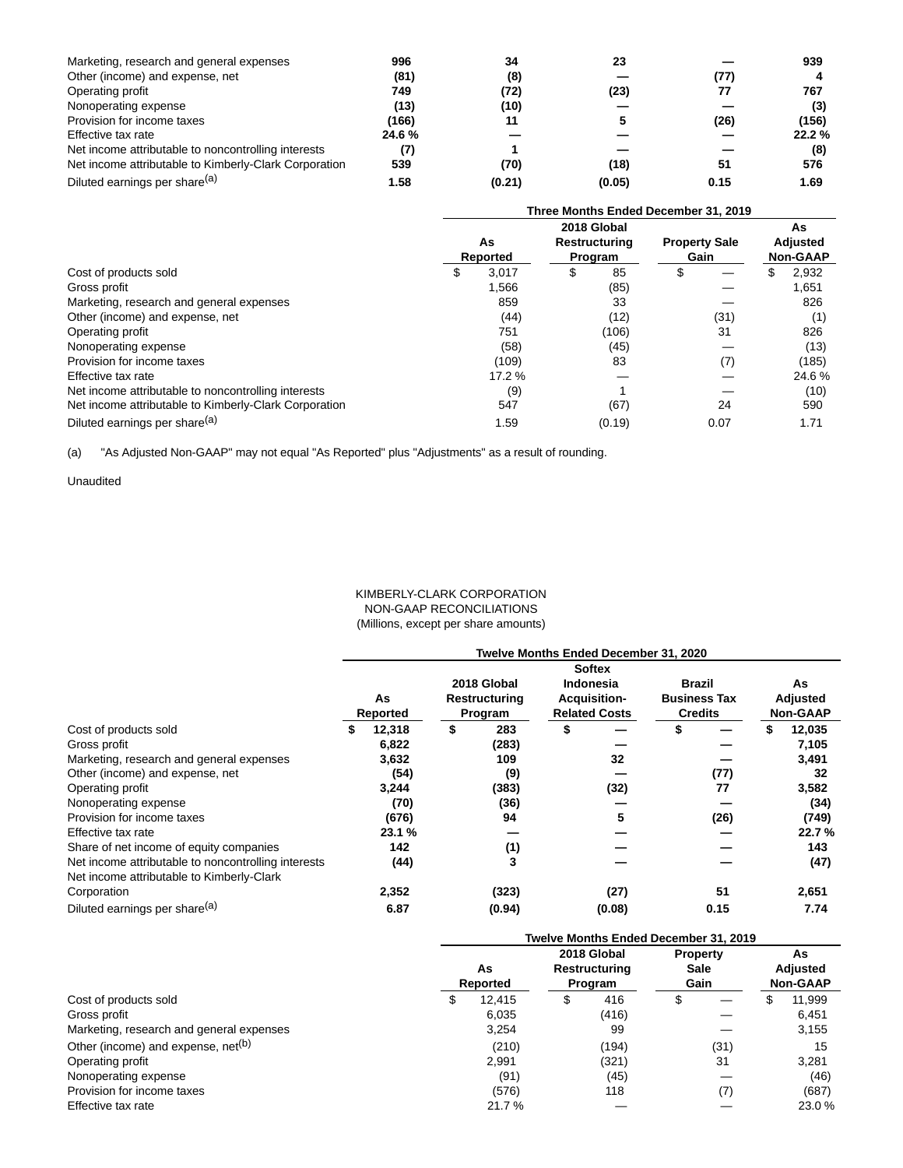| Marketing, research and general expenses              | 996   | 34     | 23     |      | 939   |
|-------------------------------------------------------|-------|--------|--------|------|-------|
| Other (income) and expense, net                       | (81)  | (8)    |        | (77) |       |
| Operating profit                                      | 749   | (72)   | (23)   | 77   | 767   |
| Nonoperating expense                                  | (13)  | (10)   |        |      | (3)   |
| Provision for income taxes                            | (166) | 11     |        | (26) | (156) |
| Effective tax rate                                    | 24.6% |        |        |      | 22.2% |
| Net income attributable to noncontrolling interests   |       |        |        |      | (8)   |
| Net income attributable to Kimberly-Clark Corporation | 539   | (70)   | (18)   | 51   | 576   |
| Diluted earnings per share <sup>(a)</sup>             | 1.58  | (0.21) | (0.05) | 0.15 | 1.69  |

|                                                       | Three Months Ended December 31, 2019 |          |   |               |                      |      |   |                 |
|-------------------------------------------------------|--------------------------------------|----------|---|---------------|----------------------|------|---|-----------------|
|                                                       |                                      |          |   | 2018 Global   |                      |      |   | As              |
|                                                       |                                      | As       |   | Restructuring | <b>Property Sale</b> |      |   | <b>Adjusted</b> |
|                                                       |                                      | Reported |   | Program       | Gain                 |      |   | <b>Non-GAAP</b> |
| Cost of products sold                                 | S.                                   | 3.017    | S | 85            | \$                   |      | S | 2,932           |
| Gross profit                                          |                                      | 1,566    |   | (85)          |                      |      |   | 1,651           |
| Marketing, research and general expenses              |                                      | 859      |   | 33            |                      |      |   | 826             |
| Other (income) and expense, net                       |                                      | (44)     |   | (12)          |                      | (31) |   | (1)             |
| Operating profit                                      |                                      | 751      |   | (106)         |                      | 31   |   | 826             |
| Nonoperating expense                                  |                                      | (58)     |   | (45)          |                      |      |   | (13)            |
| Provision for income taxes                            |                                      | (109)    |   | 83            |                      | (7)  |   | (185)           |
| Effective tax rate                                    |                                      | 17.2 %   |   |               |                      |      |   | 24.6%           |
| Net income attributable to noncontrolling interests   |                                      | (9)      |   |               |                      |      |   | (10)            |
| Net income attributable to Kimberly-Clark Corporation |                                      | 547      |   | (67)          |                      | 24   |   | 590             |
| Diluted earnings per share <sup>(a)</sup>             |                                      | 1.59     |   | (0.19)        |                      | 0.07 |   | 1.71            |

(a) "As Adjusted Non-GAAP" may not equal "As Reported" plus "Adjustments" as a result of rounding.

Unaudited

## KIMBERLY-CLARK CORPORATION NON-GAAP RECONCILIATIONS (Millions, except per share amounts)

|                                                                                                  | Twelve Months Ended December 31, 2020 |          |    |               |    |                      |                     |      |  |                 |
|--------------------------------------------------------------------------------------------------|---------------------------------------|----------|----|---------------|----|----------------------|---------------------|------|--|-----------------|
|                                                                                                  | <b>Softex</b>                         |          |    |               |    |                      |                     |      |  |                 |
|                                                                                                  |                                       |          |    | 2018 Global   |    | <b>Indonesia</b>     | <b>Brazil</b>       |      |  | As              |
|                                                                                                  |                                       | As       |    | Restructuring |    | <b>Acquisition-</b>  | <b>Business Tax</b> |      |  | Adjusted        |
|                                                                                                  |                                       | Reported |    | Program       |    | <b>Related Costs</b> | <b>Credits</b>      |      |  | <b>Non-GAAP</b> |
| Cost of products sold                                                                            |                                       | 12,318   | \$ | 283           | \$ |                      |                     |      |  | 12,035          |
| Gross profit                                                                                     |                                       | 6,822    |    | (283)         |    |                      |                     |      |  | 7,105           |
| Marketing, research and general expenses                                                         |                                       | 3,632    |    | 109           |    | 32                   |                     |      |  | 3,491           |
| Other (income) and expense, net                                                                  |                                       | (54)     |    | (9)           |    |                      |                     | (77) |  | 32              |
| Operating profit                                                                                 |                                       | 3,244    |    | (383)         |    | (32)                 |                     | 77   |  | 3,582           |
| Nonoperating expense                                                                             |                                       | (70)     |    | (36)          |    |                      |                     |      |  | (34)            |
| Provision for income taxes                                                                       |                                       | (676)    |    | 94            |    | 5                    |                     | (26) |  | (749)           |
| Effective tax rate                                                                               |                                       | 23.1%    |    |               |    |                      |                     |      |  | 22.7%           |
| Share of net income of equity companies                                                          |                                       | 142      |    | (1)           |    |                      |                     |      |  | 143             |
| Net income attributable to noncontrolling interests<br>Net income attributable to Kimberly-Clark |                                       | (44)     |    |               |    |                      |                     |      |  | (47)            |
| Corporation                                                                                      |                                       | 2,352    |    | (323)         |    | (27)                 |                     | 51   |  | 2,651           |
| Diluted earnings per share <sup>(a)</sup>                                                        |                                       | 6.87     |    | (0.94)        |    | (0.08)               |                     | 0.15 |  | 7.74            |

|                                                | Twelve Months Ended December 31, 2019 |    |                                         |                                        |      |   |                                   |  |
|------------------------------------------------|---------------------------------------|----|-----------------------------------------|----------------------------------------|------|---|-----------------------------------|--|
|                                                | As<br>Reported                        |    | 2018 Global<br>Restructuring<br>Program | <b>Property</b><br><b>Sale</b><br>Gain |      |   | As<br>Adjusted<br><b>Non-GAAP</b> |  |
| Cost of products sold                          | 12.415                                | \$ | 416                                     | \$                                     |      | ъ | 11,999                            |  |
| Gross profit                                   | 6.035                                 |    | (416)                                   |                                        |      |   | 6.451                             |  |
| Marketing, research and general expenses       | 3.254                                 |    | 99                                      |                                        |      |   | 3.155                             |  |
| Other (income) and expense, net <sup>(b)</sup> | (210)                                 |    | (194)                                   |                                        | (31) |   | 15                                |  |
| Operating profit                               | 2,991                                 |    | (321)                                   |                                        | 31   |   | 3,281                             |  |
| Nonoperating expense                           | (91)                                  |    | (45)                                    |                                        |      |   | (46)                              |  |
| Provision for income taxes                     | (576)                                 |    | 118                                     |                                        | (7)  |   | (687)                             |  |
| Effective tax rate                             | 21.7%                                 |    |                                         |                                        |      |   | 23.0 %                            |  |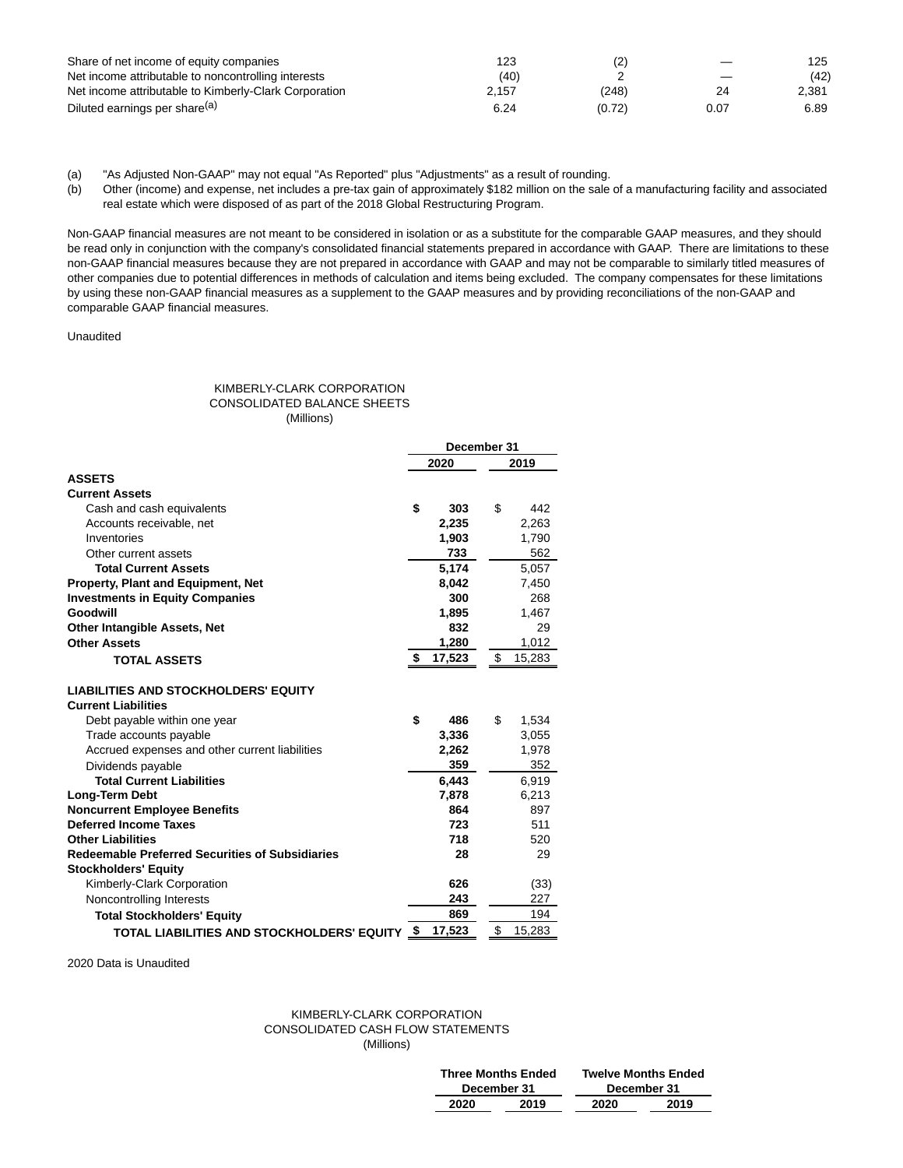| Share of net income of equity companies               | 123   | (2)    | $\overline{\phantom{m}}$ | 125   |
|-------------------------------------------------------|-------|--------|--------------------------|-------|
| Net income attributable to noncontrolling interests   | (40)  |        |                          | (42)  |
| Net income attributable to Kimberly-Clark Corporation | 2.157 | (248)  | 24                       | 2.381 |
| Diluted earnings per share <sup>(a)</sup>             | 6.24  | (0.72) | 0.07                     | 6.89  |

(a) "As Adjusted Non-GAAP" may not equal "As Reported" plus "Adjustments" as a result of rounding.

(b) Other (income) and expense, net includes a pre-tax gain of approximately \$182 million on the sale of a manufacturing facility and associated real estate which were disposed of as part of the 2018 Global Restructuring Program.

Non-GAAP financial measures are not meant to be considered in isolation or as a substitute for the comparable GAAP measures, and they should be read only in conjunction with the company's consolidated financial statements prepared in accordance with GAAP. There are limitations to these non-GAAP financial measures because they are not prepared in accordance with GAAP and may not be comparable to similarly titled measures of other companies due to potential differences in methods of calculation and items being excluded. The company compensates for these limitations by using these non-GAAP financial measures as a supplement to the GAAP measures and by providing reconciliations of the non-GAAP and comparable GAAP financial measures.

Unaudited

## KIMBERLY-CLARK CORPORATION CONSOLIDATED BALANCE SHEETS (Millions)

|                                                        | December 31 |        |    |        |
|--------------------------------------------------------|-------------|--------|----|--------|
|                                                        | 2020        |        |    | 2019   |
| <b>ASSETS</b>                                          |             |        |    |        |
| <b>Current Assets</b>                                  |             |        |    |        |
| Cash and cash equivalents                              | \$          | 303    | \$ | 442    |
| Accounts receivable, net                               |             | 2,235  |    | 2.263  |
| Inventories                                            |             | 1,903  |    | 1,790  |
| Other current assets                                   |             | 733    |    | 562    |
| <b>Total Current Assets</b>                            |             | 5,174  |    | 5,057  |
| Property, Plant and Equipment, Net                     |             | 8,042  |    | 7,450  |
| <b>Investments in Equity Companies</b>                 |             | 300    |    | 268    |
| Goodwill                                               |             | 1,895  |    | 1,467  |
| <b>Other Intangible Assets, Net</b>                    |             | 832    |    | 29     |
| <b>Other Assets</b>                                    |             | 1.280  |    | 1.012  |
| <b>TOTAL ASSETS</b>                                    | \$          | 17,523 | \$ | 15,283 |
| <b>LIABILITIES AND STOCKHOLDERS' EQUITY</b>            |             |        |    |        |
| <b>Current Liabilities</b>                             |             |        |    |        |
| Debt payable within one year                           | \$          | 486    | \$ | 1,534  |
| Trade accounts payable                                 |             | 3,336  |    | 3,055  |
| Accrued expenses and other current liabilities         |             | 2,262  |    | 1,978  |
| Dividends payable                                      |             | 359    |    | 352    |
| <b>Total Current Liabilities</b>                       |             | 6,443  |    | 6,919  |
| Long-Term Debt                                         |             | 7,878  |    | 6,213  |
| <b>Noncurrent Employee Benefits</b>                    |             | 864    |    | 897    |
| <b>Deferred Income Taxes</b>                           |             | 723    |    | 511    |
| <b>Other Liabilities</b>                               |             | 718    |    | 520    |
| <b>Redeemable Preferred Securities of Subsidiaries</b> |             | 28     |    | 29     |
| <b>Stockholders' Equity</b>                            |             |        |    |        |
| Kimberly-Clark Corporation                             |             | 626    |    | (33)   |
| Noncontrolling Interests                               |             | 243    |    | 227    |
| <b>Total Stockholders' Equity</b>                      |             | 869    |    | 194    |
| TOTAL LIABILITIES AND STOCKHOLDERS' EQUITY             | \$          | 17,523 | \$ | 15,283 |

2020 Data is Unaudited

## KIMBERLY-CLARK CORPORATION CONSOLIDATED CASH FLOW STATEMENTS (Millions)

| <b>Three Months Ended</b> |      | <b>Twelve Months Ended</b> |      |  |  |  |
|---------------------------|------|----------------------------|------|--|--|--|
| December 31               |      | December 31                |      |  |  |  |
| 2020                      | 2019 | 2020                       | 2019 |  |  |  |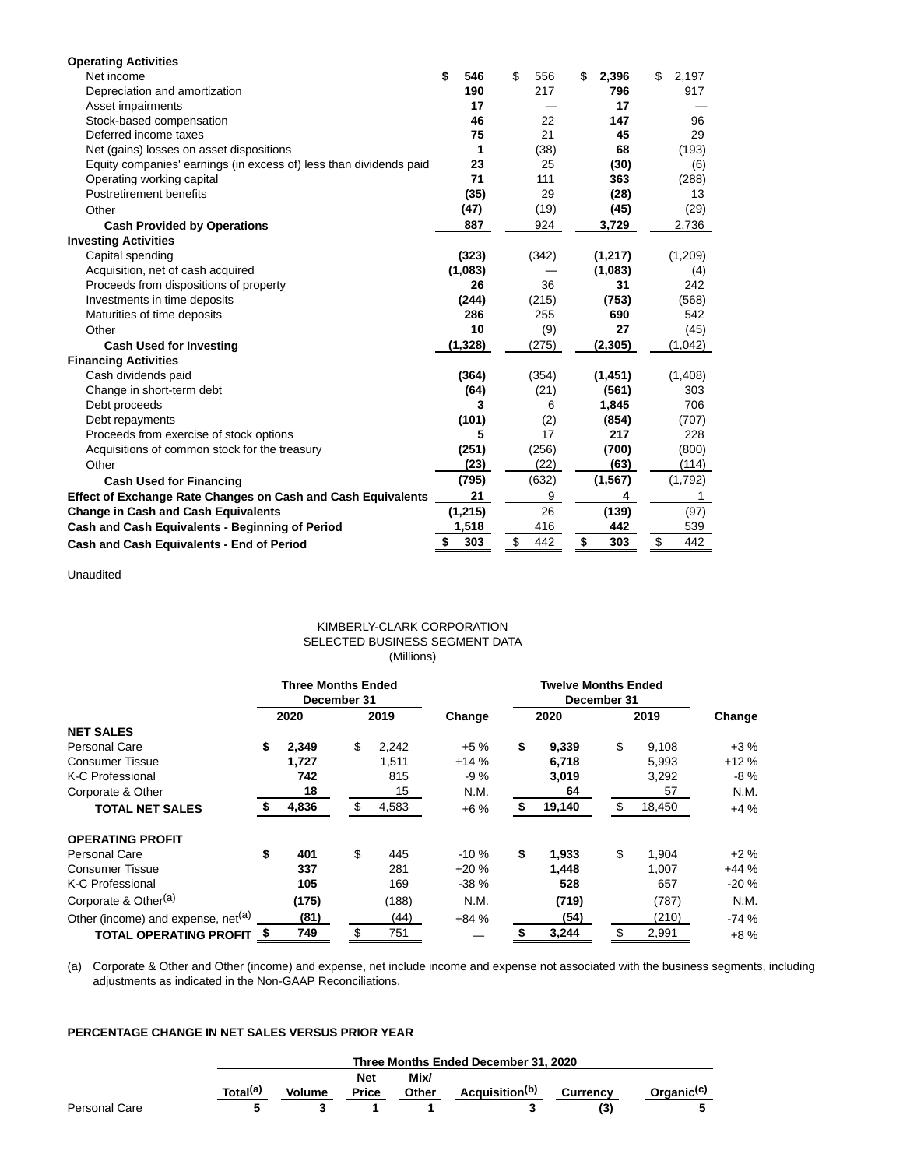| <b>Operating Activities</b>                                        |           |           |             |             |
|--------------------------------------------------------------------|-----------|-----------|-------------|-------------|
| Net income                                                         | \$<br>546 | \$<br>556 | \$<br>2,396 | \$<br>2.197 |
| Depreciation and amortization                                      | 190       | 217       | 796         | 917         |
| Asset impairments                                                  | 17        |           | 17          |             |
| Stock-based compensation                                           | 46        | 22        | 147         | 96          |
| Deferred income taxes                                              | 75        | 21        | 45          | 29          |
| Net (gains) losses on asset dispositions                           | 1         | (38)      | 68          | (193)       |
| Equity companies' earnings (in excess of) less than dividends paid | 23        | 25        | (30)        | (6)         |
| Operating working capital                                          | 71        | 111       | 363         | (288)       |
| Postretirement benefits                                            | (35)      | 29        | (28)        | 13          |
| Other                                                              | (47)      | (19)      | (45)        | (29)        |
| <b>Cash Provided by Operations</b>                                 | 887       | 924       | 3,729       | 2,736       |
| <b>Investing Activities</b>                                        |           |           |             |             |
| Capital spending                                                   | (323)     | (342)     | (1,217)     | (1,209)     |
| Acquisition, net of cash acquired                                  | (1,083)   |           | (1,083)     | (4)         |
| Proceeds from dispositions of property                             | 26        | 36        | 31          | 242         |
| Investments in time deposits                                       | (244)     | (215)     | (753)       | (568)       |
| Maturities of time deposits                                        | 286       | 255       | 690         | 542         |
| Other                                                              | 10        | (9)       | 27          | (45)        |
| <b>Cash Used for Investing</b>                                     | (1, 328)  | (275)     | (2, 305)    | (1,042)     |
| <b>Financing Activities</b>                                        |           |           |             |             |
| Cash dividends paid                                                | (364)     | (354)     | (1, 451)    | (1,408)     |
| Change in short-term debt                                          | (64)      | (21)      | (561)       | 303         |
| Debt proceeds                                                      | 3         | 6         | 1,845       | 706         |
| Debt repayments                                                    | (101)     | (2)       | (854)       | (707)       |
| Proceeds from exercise of stock options                            | 5         | 17        | 217         | 228         |
| Acquisitions of common stock for the treasury                      | (251)     | (256)     | (700)       | (800)       |
| Other                                                              | (23)      | (22)      | (63)        | (114)       |
| <b>Cash Used for Financing</b>                                     | (795)     | (632)     | (1, 567)    | (1,792)     |
| Effect of Exchange Rate Changes on Cash and Cash Equivalents       | 21        | 9         | 4           | 1           |
| <b>Change in Cash and Cash Equivalents</b>                         | (1, 215)  | 26        | (139)       | (97)        |
| Cash and Cash Equivalents - Beginning of Period                    | 1,518     | 416       | 442         | 539         |
| Cash and Cash Equivalents - End of Period                          | \$<br>303 | 442<br>\$ | \$<br>303   | \$<br>442   |

Unaudited

## KIMBERLY-CLARK CORPORATION SELECTED BUSINESS SEGMENT DATA (Millions)

|                                                | <b>Three Months Ended</b><br>December 31 |       |    |       | <b>Twelve Months Ended</b><br>December 31 |      |        |      |        |        |
|------------------------------------------------|------------------------------------------|-------|----|-------|-------------------------------------------|------|--------|------|--------|--------|
|                                                |                                          | 2020  |    | 2019  | Change                                    | 2020 |        | 2019 |        | Change |
| <b>NET SALES</b>                               |                                          |       |    |       |                                           |      |        |      |        |        |
| Personal Care                                  | \$                                       | 2,349 | \$ | 2,242 | $+5%$                                     | \$   | 9,339  | \$   | 9,108  | $+3%$  |
| <b>Consumer Tissue</b>                         |                                          | 1.727 |    | 1,511 | $+14%$                                    |      | 6,718  |      | 5,993  | $+12%$ |
| K-C Professional                               |                                          | 742   |    | 815   | $-9%$                                     |      | 3,019  |      | 3,292  | $-8%$  |
| Corporate & Other                              |                                          | 18    |    | 15    | N.M.                                      |      | 64     |      | 57     | N.M.   |
| <b>TOTAL NET SALES</b>                         |                                          | 4,836 | \$ | 4,583 | $+6%$                                     |      | 19,140 |      | 18,450 | $+4%$  |
| <b>OPERATING PROFIT</b>                        |                                          |       |    |       |                                           |      |        |      |        |        |
| Personal Care                                  | \$                                       | 401   | \$ | 445   | $-10%$                                    | \$   | 1,933  | \$   | 1.904  | $+2\%$ |
| <b>Consumer Tissue</b>                         |                                          | 337   |    | 281   | $+20%$                                    |      | 1.448  |      | 1.007  | $+44%$ |
| K-C Professional                               |                                          | 105   |    | 169   | $-38%$                                    |      | 528    |      | 657    | $-20%$ |
| Corporate & Other <sup>(a)</sup>               |                                          | (175) |    | (188) | N.M.                                      |      | (719)  |      | (787)  | N.M.   |
| Other (income) and expense, net <sup>(a)</sup> |                                          | (81)  |    | (44)  | $+84%$                                    |      | (54)   |      | (210)  | $-74%$ |
| <b>TOTAL OPERATING PROFIT</b>                  | - 5                                      | 749   | \$ | 751   |                                           |      | 3,244  |      | 2,991  | $+8%$  |

(a) Corporate & Other and Other (income) and expense, net include income and expense not associated with the business segments, including adjustments as indicated in the Non-GAAP Reconciliations.

## **PERCENTAGE CHANGE IN NET SALES VERSUS PRIOR YEAR**

|               |                      | Three Months Ended December 31, 2020 |              |              |                            |                 |                        |  |  |  |
|---------------|----------------------|--------------------------------------|--------------|--------------|----------------------------|-----------------|------------------------|--|--|--|
|               |                      |                                      | <b>Net</b>   | Mix/         |                            |                 |                        |  |  |  |
|               | Total <sup>(a)</sup> | <b>Volume</b>                        | <b>Price</b> | <b>Other</b> | Acquisition <sup>(b)</sup> | <b>Currency</b> | Organic <sup>(c)</sup> |  |  |  |
| Personal Care |                      |                                      |              |              |                            |                 |                        |  |  |  |